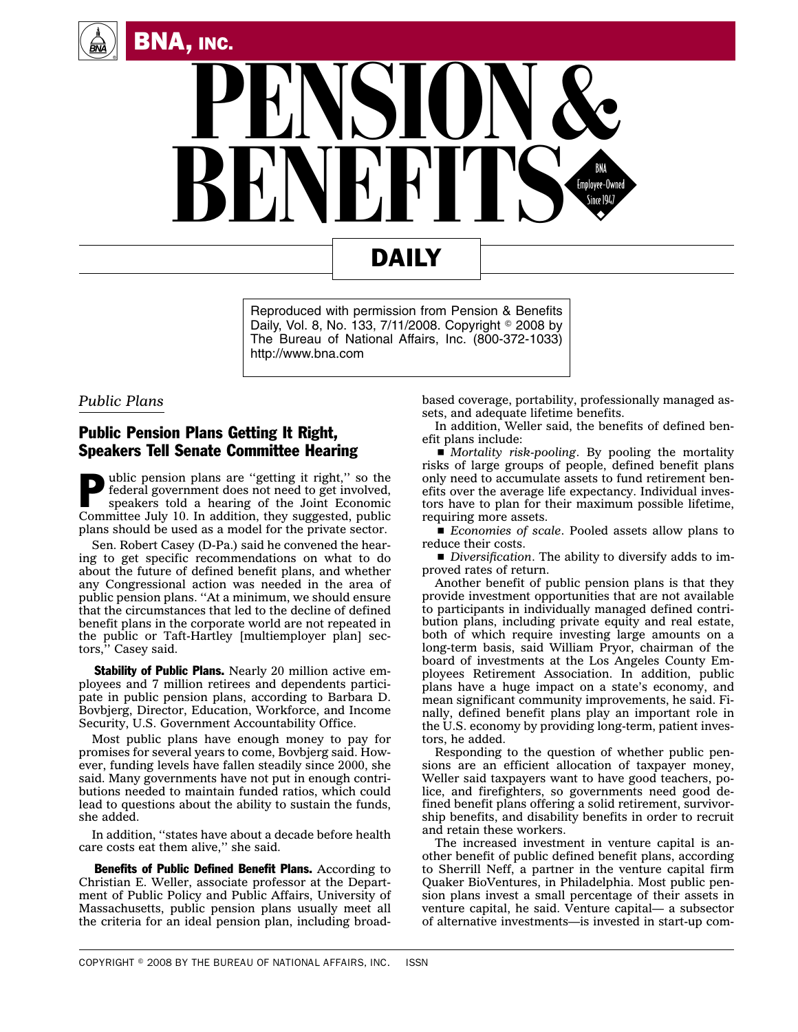



## DAILY

Reproduced with permission from Pension & Benefits Daily, Vol. 8, No. 133, 7/11/2008. Copyright 2008 by The Bureau of National Affairs, Inc. (800-372-1033) http://www.bna.com

## *Public Plans*

## Public Pension Plans Getting It Right, Speakers Tell Senate Committee Hearing

**P** ublic pension plans are "getting it right," so the federal government does not need to get involved, speakers told a hearing of the Joint Economic federal government does not need to get involved, Committee July 10. In addition, they suggested, public plans should be used as a model for the private sector.

Sen. Robert Casey (D-Pa.) said he convened the hearing to get specific recommendations on what to do about the future of defined benefit plans, and whether any Congressional action was needed in the area of public pension plans. ''At a minimum, we should ensure that the circumstances that led to the decline of defined benefit plans in the corporate world are not repeated in the public or Taft-Hartley [multiemployer plan] sectors,'' Casey said.

**Stability of Public Plans.** Nearly 20 million active employees and 7 million retirees and dependents participate in public pension plans, according to Barbara D. Bovbjerg, Director, Education, Workforce, and Income Security, U.S. Government Accountability Office.

Most public plans have enough money to pay for promises for several years to come, Bovbjerg said. However, funding levels have fallen steadily since 2000, she said. Many governments have not put in enough contributions needed to maintain funded ratios, which could lead to questions about the ability to sustain the funds, she added.

In addition, ''states have about a decade before health care costs eat them alive,'' she said.

Benefits of Public Defined Benefit Plans. According to Christian E. Weller, associate professor at the Department of Public Policy and Public Affairs, University of Massachusetts, public pension plans usually meet all the criteria for an ideal pension plan, including broadbased coverage, portability, professionally managed assets, and adequate lifetime benefits.

In addition, Weller said, the benefits of defined benefit plans include:

s *Mortality risk-pooling*. By pooling the mortality risks of large groups of people, defined benefit plans only need to accumulate assets to fund retirement benefits over the average life expectancy. Individual investors have to plan for their maximum possible lifetime, requiring more assets.

s *Economies of scale*. Pooled assets allow plans to reduce their costs.

s *Diversification*. The ability to diversify adds to improved rates of return.

Another benefit of public pension plans is that they provide investment opportunities that are not available to participants in individually managed defined contribution plans, including private equity and real estate, both of which require investing large amounts on a long-term basis, said William Pryor, chairman of the board of investments at the Los Angeles County Employees Retirement Association. In addition, public plans have a huge impact on a state's economy, and mean significant community improvements, he said. Finally, defined benefit plans play an important role in the U.S. economy by providing long-term, patient investors, he added.

Responding to the question of whether public pensions are an efficient allocation of taxpayer money, Weller said taxpayers want to have good teachers, police, and firefighters, so governments need good defined benefit plans offering a solid retirement, survivorship benefits, and disability benefits in order to recruit and retain these workers.

The increased investment in venture capital is another benefit of public defined benefit plans, according to Sherrill Neff, a partner in the venture capital firm Quaker BioVentures, in Philadelphia. Most public pension plans invest a small percentage of their assets in venture capital, he said. Venture capital— a subsector of alternative investments—is invested in start-up com